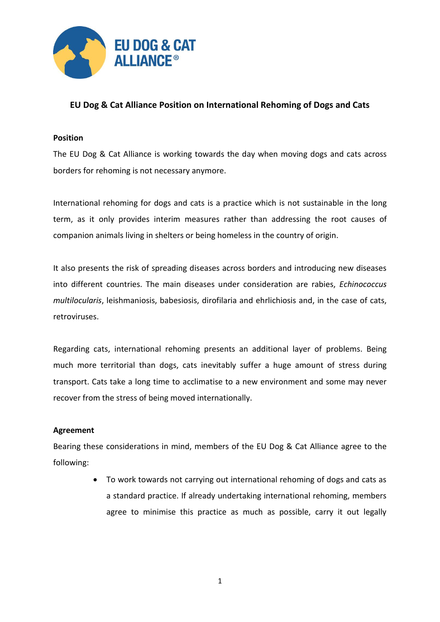

# **EU Dog & Cat Alliance Position on International Rehoming of Dogs and Cats**

#### **Position**

The EU Dog & Cat Alliance is working towards the day when moving dogs and cats across borders for rehoming is not necessary anymore.

International rehoming for dogs and cats is a practice which is not sustainable in the long term, as it only provides interim measures rather than addressing the root causes of companion animals living in shelters or being homeless in the country of origin.

It also presents the risk of spreading diseases across borders and introducing new diseases into different countries. The main diseases under consideration are rabies, *Echinococcus multilocularis*, leishmaniosis, babesiosis, dirofilaria and ehrlichiosis and, in the case of cats, retroviruses.

Regarding cats, international rehoming presents an additional layer of problems. Being much more territorial than dogs, cats inevitably suffer a huge amount of stress during transport. Cats take a long time to acclimatise to a new environment and some may never recover from the stress of being moved internationally.

#### **Agreement**

Bearing these considerations in mind, members of the EU Dog & Cat Alliance agree to the following:

> To work towards not carrying out international rehoming of dogs and cats as a standard practice. If already undertaking international rehoming, members agree to minimise this practice as much as possible, carry it out legally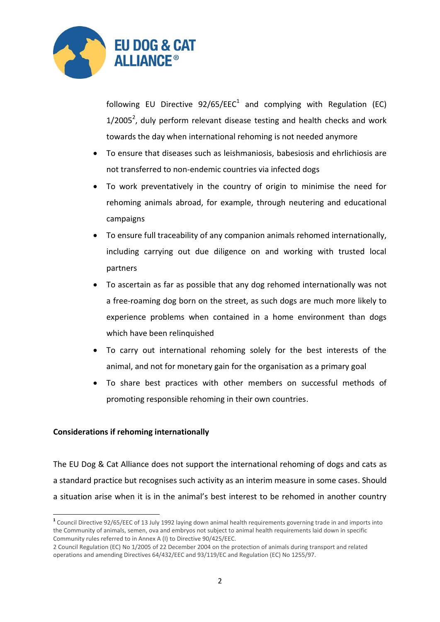

following EU Directive  $92/65/EEC<sup>1</sup>$  and complying with Regulation (EC)  $1/2005<sup>2</sup>$ , duly perform relevant disease testing and health checks and work towards the day when international rehoming is not needed anymore

- To ensure that diseases such as leishmaniosis, babesiosis and ehrlichiosis are not transferred to non-endemic countries via infected dogs
- To work preventatively in the country of origin to minimise the need for rehoming animals abroad, for example, through neutering and educational campaigns
- To ensure full traceability of any companion animals rehomed internationally, including carrying out due diligence on and working with trusted local partners
- To ascertain as far as possible that any dog rehomed internationally was not a free-roaming dog born on the street, as such dogs are much more likely to experience problems when contained in a home environment than dogs which have been relinquished
- To carry out international rehoming solely for the best interests of the animal, and not for monetary gain for the organisation as a primary goal
- To share best practices with other members on successful methods of promoting responsible rehoming in their own countries.

## **Considerations if rehoming internationally**

**.** 

The EU Dog & Cat Alliance does not support the international rehoming of dogs and cats as a standard practice but recognises such activity as an interim measure in some cases. Should a situation arise when it is in the animal's best interest to be rehomed in another country

**<sup>1</sup>** Council Directive 92/65/EEC of 13 July 1992 laying down animal health requirements governing trade in and imports into the Community of animals, semen, ova and embryos not subject to animal health requirements laid down in specific Community rules referred to in Annex A (I) to Directive 90/425/EEC.

<sup>2</sup> Council Regulation (EC) No 1/2005 of 22 December 2004 on the protection of animals during transport and related operations and amending Directives 64/432/EEC and 93/119/EC and Regulation (EC) No 1255/97.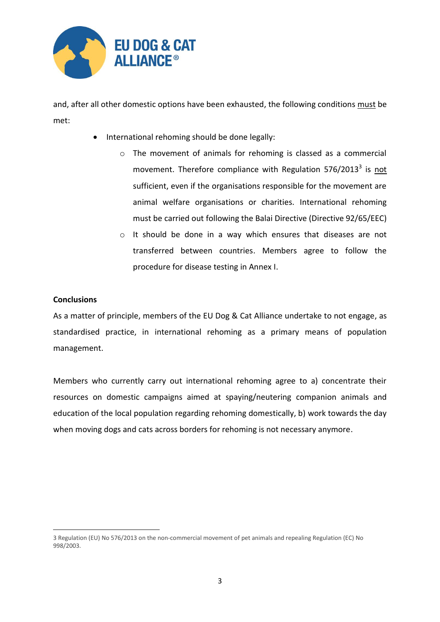

and, after all other domestic options have been exhausted, the following conditions must be met:

- International rehoming should be done legally:
	- o The movement of animals for rehoming is classed as a commercial movement. Therefore compliance with Regulation 576/2013<sup>3</sup> is not sufficient, even if the organisations responsible for the movement are animal welfare organisations or charities. International rehoming must be carried out following the Balai Directive (Directive 92/65/EEC)
	- o It should be done in a way which ensures that diseases are not transferred between countries. Members agree to follow the procedure for disease testing in Annex I.

## **Conclusions**

1

As a matter of principle, members of the EU Dog & Cat Alliance undertake to not engage, as standardised practice, in international rehoming as a primary means of population management.

Members who currently carry out international rehoming agree to a) concentrate their resources on domestic campaigns aimed at spaying/neutering companion animals and education of the local population regarding rehoming domestically, b) work towards the day when moving dogs and cats across borders for rehoming is not necessary anymore.

<sup>3</sup> Regulation (EU) No 576/2013 on the non-commercial movement of pet animals and repealing Regulation (EC) No 998/2003.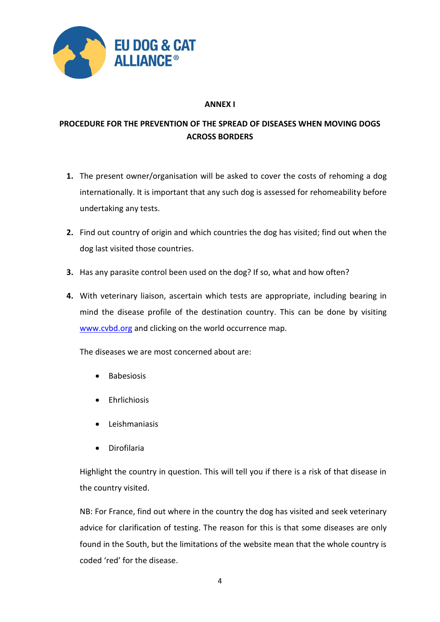

## **ANNEX I**

# **PROCEDURE FOR THE PREVENTION OF THE SPREAD OF DISEASES WHEN MOVING DOGS ACROSS BORDERS**

- **1.** The present owner/organisation will be asked to cover the costs of rehoming a dog internationally. It is important that any such dog is assessed for rehomeability before undertaking any tests.
- **2.** Find out country of origin and which countries the dog has visited; find out when the dog last visited those countries.
- **3.** Has any parasite control been used on the dog? If so, what and how often?
- **4.** With veterinary liaison, ascertain which tests are appropriate, including bearing in mind the disease profile of the destination country. This can be done by visiting [www.cvbd.org](http://www.cvbd.org/) and clicking on the world occurrence map.

The diseases we are most concerned about are:

- Babesiosis
- **•** Fhrlichiosis
- Leishmaniasis
- Dirofilaria

Highlight the country in question. This will tell you if there is a risk of that disease in the country visited.

NB: For France, find out where in the country the dog has visited and seek veterinary advice for clarification of testing. The reason for this is that some diseases are only found in the South, but the limitations of the website mean that the whole country is coded 'red' for the disease.